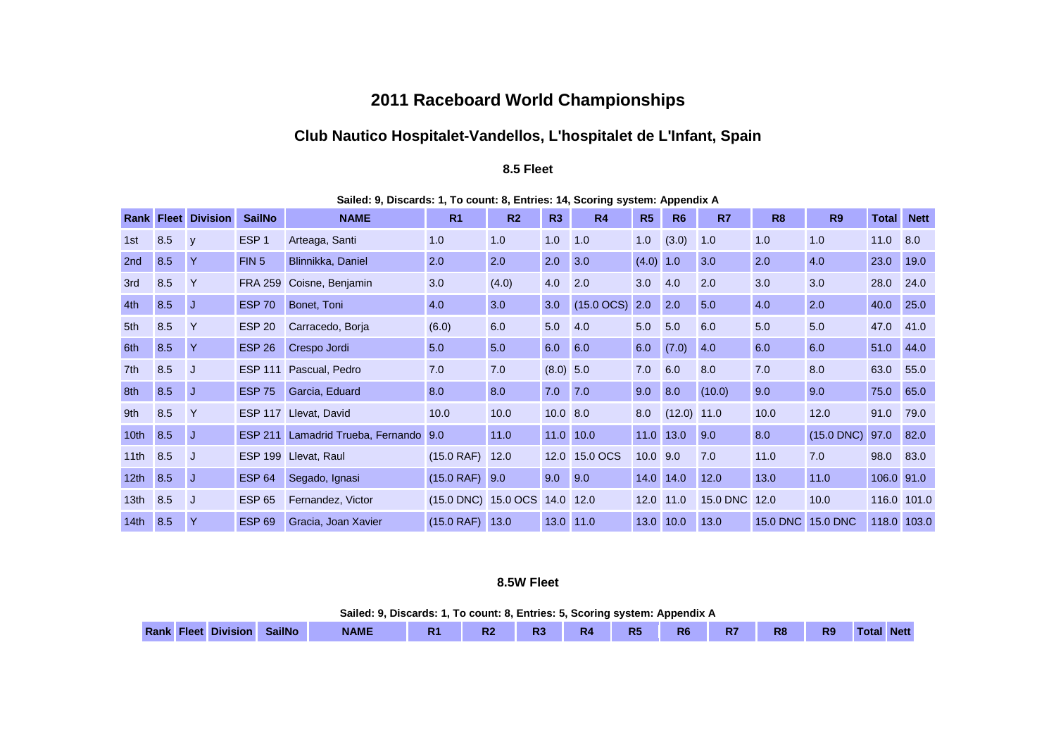# **2011 Raceboard World Championships**

# **Club Nautico Hospitalet-Vandellos, L'hospitalet de L'Infant, Spain**

#### **8.5 Fleet**

|                  | Rank Fleet | <b>Division</b> | <b>SailNo</b>    | <b>NAME</b>                   | R <sub>1</sub>      | R <sub>2</sub> | R3          | R4            | R <sub>5</sub> | R <sub>6</sub> | R7              | R <sub>8</sub>  | <b>R9</b>       | <b>Total</b> | <b>Nett</b> |
|------------------|------------|-----------------|------------------|-------------------------------|---------------------|----------------|-------------|---------------|----------------|----------------|-----------------|-----------------|-----------------|--------------|-------------|
| 1st              | 8.5        | <b>V</b>        | ESP <sub>1</sub> | Arteaga, Santi                | 1.0                 | 1.0            | 1.0         | 1.0           | 1.0            | (3.0)          | 1.0             | 1.0             | 1.0             | 11.0         | 8.0         |
| 2nd              | 8.5        | Y               | FIN <sub>5</sub> | Blinnikka, Daniel             | 2.0                 | 2.0            | 2.0         | 3.0           | (4.0) 1.0      |                | 3.0             | 2.0             | 4.0             | 23.0         | 19.0        |
| 3rd              | 8.5        | $\mathsf{Y}$    | <b>FRA 259</b>   | Coisne, Benjamin              | 3.0                 | (4.0)          | 4.0         | 2.0           | 3.0            | 4.0            | 2.0             | 3.0             | 3.0             | 28.0         | 24.0        |
| 4th              | 8.5        | IJ              | <b>ESP 70</b>    | Bonet, Toni                   | 4.0                 | 3.0            | 3.0         | $(15.0$ OCS)  | 2.0            | 2.0            | 5.0             | 4.0             | 2.0             | 40.0         | 25.0        |
| 5th              | 8.5        | $\mathsf{Y}$    | <b>ESP 20</b>    | Carracedo, Borja              | (6.0)               | 6.0            | 5.0         | 4.0           | 5.0            | 5.0            | 6.0             | 5.0             | 5.0             | 47.0         | 41.0        |
| 6th              | 8.5        | $\mathsf{Y}$    | <b>ESP 26</b>    | Crespo Jordi                  | 5.0                 | 5.0            | 6.0         | 6.0           | 6.0            | (7.0)          | 4.0             | 6.0             | 6.0             | 51.0         | 44.0        |
| 7th              | 8.5        | IJ              | <b>ESP 111</b>   | Pascual, Pedro                | 7.0                 | 7.0            | $(8.0)$ 5.0 |               | 7.0            | 6.0            | 8.0             | 7.0             | 8.0             | 63.0         | 55.0        |
| 8th              | 8.5        | J.              | <b>ESP 75</b>    | Garcia, Eduard                | 8.0                 | 8.0            | 7.0         | 7.0           | 9.0            | 8.0            | (10.0)          | 9.0             | 9.0             | 75.0         | 65.0        |
| 9th              | 8.5        | $\mathsf{Y}$    | <b>ESP 117</b>   | Llevat, David                 | 10.0                | 10.0           | $10.0$ 8.0  |               | 8.0            | $(12.0)$ 11.0  |                 | 10.0            | 12.0            | 91.0         | 79.0        |
| 10 <sub>th</sub> | 8.5        | IJ              | <b>ESP 211</b>   | Lamadrid Trueba, Fernando 9.0 |                     | 11.0           | $11.0$ 10.0 |               | 11.0           | 13.0           | 9.0             | 8.0             | $(15.0$ DNC $)$ | 97.0         | 82.0        |
| 11th             | 8.5        | J.              | <b>ESP 199</b>   | Llevat, Raul                  | $(15.0$ RAF) 12.0   |                |             | 12.0 15.0 OCS | $10.0$ 9.0     |                | 7.0             | 11.0            | 7.0             | 98.0         | 83.0        |
| 12th             | 8.5        | IJ              | <b>ESP 64</b>    | Segado, Ignasi                | $(15.0$ RAF) 9.0    |                | 9.0         | 9.0           | 14.0           | 14.0           | 12.0            | 13.0            | 11.0            | 106.0 91.0   |             |
| 13 <sub>th</sub> | 8.5        | IJ              | <b>ESP 65</b>    | Fernandez, Victor             | (15.0 DNC) 15.0 OCS |                | 14.0 12.0   |               | 12.0           | 11.0           | <b>15.0 DNC</b> | 12.0            | 10.0            |              | 116.0 101.0 |
| 14th             | 8.5        | Y               | <b>ESP 69</b>    | Gracia, Joan Xavier           | $(15.0$ RAF) $13.0$ |                | 13.0 11.0   |               | 13.0           | 10.0           | 13.0            | <b>15.0 DNC</b> | <b>15.0 DNC</b> | 118.0        | 103.0       |

**Sailed: 9, Discards: 1, To count: 8, Entries: 14, Scoring system: Appendix A**

## **8.5W Fleet**

| '. To count: 8, Entries: 5, Scoring system: Appendix A<br>Sailed: 9. Discards: 1 |               |             |                |  |                |    |                |    |    |                |                |                   |  |  |
|----------------------------------------------------------------------------------|---------------|-------------|----------------|--|----------------|----|----------------|----|----|----------------|----------------|-------------------|--|--|
| <b>Rank Fleet Division</b>                                                       | <b>SailNo</b> | <b>NAME</b> | R <sub>1</sub> |  | R <sub>3</sub> | R4 | R <sub>5</sub> | R6 | к. | R <sub>8</sub> | R <sub>9</sub> | <b>Total Nett</b> |  |  |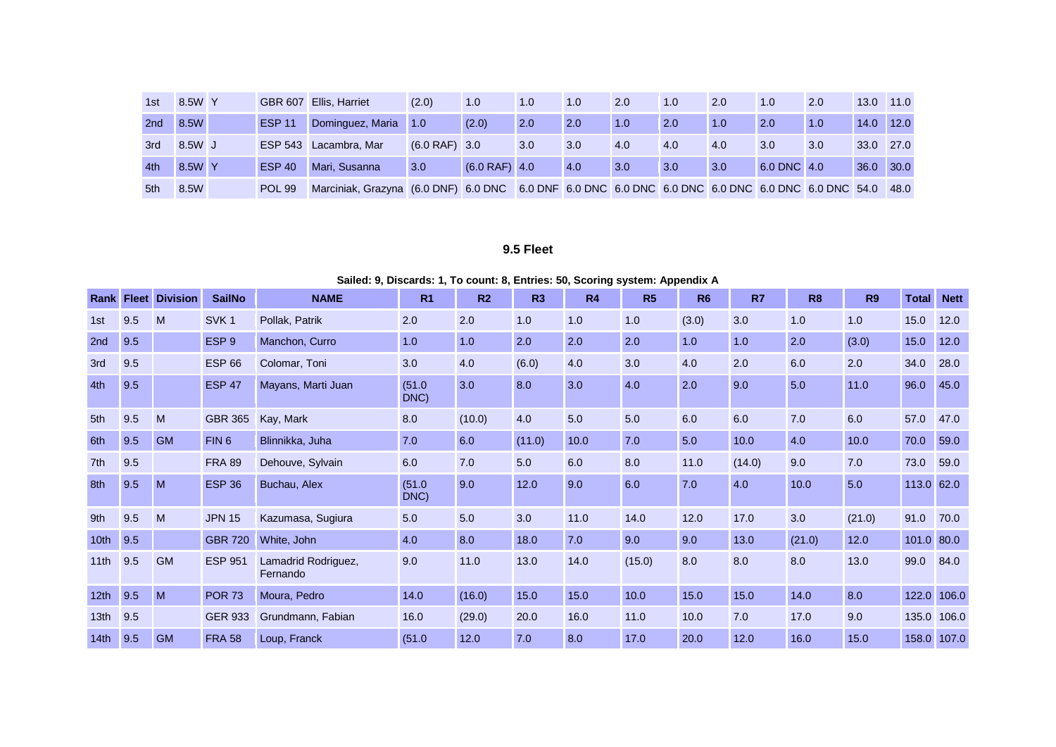| 1st | 8.5W Y |               | GBR 607 Ellis, Harriet                                                                            | (2.0)           | 1.0             | 1.0 | 1.0 | 2.0 | 1.0 | 2.0 | 1.0         | 2.0 | 13.0 | 11.0 |
|-----|--------|---------------|---------------------------------------------------------------------------------------------------|-----------------|-----------------|-----|-----|-----|-----|-----|-------------|-----|------|------|
| 2nd | 8.5W   | <b>ESP 11</b> | Dominguez, Maria                                                                                  | 1.0             | (2.0)           | 2.0 | 2.0 | 1.0 | 2.0 | 1.0 | 2.0         | 1.0 | 14.0 | 12.0 |
| 3rd | 8.5W J |               | ESP 543 Lacambra, Mar                                                                             | $(6.0$ RAF) 3.0 |                 | 3.0 | 3.0 | 4.0 | 4.0 | 4.0 | 3.0         | 3.0 | 33.0 | 27.0 |
| 4th | 8.5W Y | <b>ESP 40</b> | Mari, Susanna                                                                                     | 3.0             | $(6.0$ RAF) 4.0 |     | 4.0 | 3.0 | 3.0 | 3.0 | 6.0 DNC 4.0 |     | 36.0 | 30.0 |
| 5th | 8.5W   | <b>POL 99</b> | Marciniak, Grazyna (6.0 DNF) 6.0 DNC 6.0 DNF 6.0 DNC 6.0 DNC 6.0 DNC 6.0 DNC 6.0 DNC 6.0 DNC 54.0 |                 |                 |     |     |     |     |     |             |     |      | 48.0 |

### **9.5 Fleet**

#### **Sailed: 9, Discards: 1, To count: 8, Entries: 50, Scoring system: Appendix A**

| <b>Rank</b>      |     | <b>Fleet Division</b> | <b>SailNo</b>    | <b>NAME</b>                     | R <sub>1</sub> | R <sub>2</sub> | R <sub>3</sub> | R4   | R <sub>5</sub> | <b>R6</b> | R7     | R <sub>8</sub> | <b>R9</b> | <b>Total</b> | <b>Nett</b> |
|------------------|-----|-----------------------|------------------|---------------------------------|----------------|----------------|----------------|------|----------------|-----------|--------|----------------|-----------|--------------|-------------|
| 1st              | 9.5 | M                     | SVK <sub>1</sub> | Pollak, Patrik                  | 2.0            | 2.0            | 1.0            | 1.0  | 1.0            | (3.0)     | 3.0    | 1.0            | 1.0       | 15.0         | 12.0        |
| 2nd              | 9.5 |                       | ESP <sub>9</sub> | Manchon, Curro                  | 1.0            | 1.0            | 2.0            | 2.0  | 2.0            | 1.0       | 1.0    | 2.0            | (3.0)     | 15.0         | 12.0        |
| 3rd              | 9.5 |                       | <b>ESP 66</b>    | Colomar, Toni                   | 3.0            | 4.0            | (6.0)          | 4.0  | 3.0            | 4.0       | 2.0    | 6.0            | 2.0       | 34.0         | 28.0        |
| 4th              | 9.5 |                       | <b>ESP 47</b>    | Mayans, Marti Juan              | (51.0)<br>DNC) | 3.0            | 8.0            | 3.0  | 4.0            | 2.0       | 9.0    | 5.0            | 11.0      | 96.0         | 45.0        |
| 5th              | 9.5 | M                     | <b>GBR 365</b>   | Kay, Mark                       | 8.0            | (10.0)         | 4.0            | 5.0  | 5.0            | 6.0       | 6.0    | 7.0            | 6.0       | 57.0         | 47.0        |
| 6th              | 9.5 | <b>GM</b>             | FIN <sub>6</sub> | Blinnikka, Juha                 | 7.0            | 6.0            | (11.0)         | 10.0 | 7.0            | 5.0       | 10.0   | 4.0            | 10.0      | 70.0         | 59.0        |
| 7th              | 9.5 |                       | <b>FRA 89</b>    | Dehouve, Sylvain                | 6.0            | 7.0            | 5.0            | 6.0  | 8.0            | 11.0      | (14.0) | 9.0            | 7.0       | 73.0         | 59.0        |
| 8th              | 9.5 | M                     | <b>ESP 36</b>    | Buchau, Alex                    | (51.0)<br>DNC) | 9.0            | 12.0           | 9.0  | 6.0            | 7.0       | 4.0    | 10.0           | 5.0       | 113.0        | 62.0        |
| 9th              | 9.5 | M                     | <b>JPN 15</b>    | Kazumasa, Sugiura               | 5.0            | 5.0            | 3.0            | 11.0 | 14.0           | 12.0      | 17.0   | 3.0            | (21.0)    | 91.0         | 70.0        |
| 10 <sub>th</sub> | 9.5 |                       | <b>GBR 720</b>   | White, John                     | 4.0            | 8.0            | 18.0           | 7.0  | 9.0            | 9.0       | 13.0   | (21.0)         | 12.0      | 101.0        | 80.0        |
| 11 <sub>th</sub> | 9.5 | <b>GM</b>             | <b>ESP 951</b>   | Lamadrid Rodriguez,<br>Fernando | 9.0            | 11.0           | 13.0           | 14.0 | (15.0)         | 8.0       | 8.0    | 8.0            | 13.0      | 99.0         | 84.0        |
| 12 <sub>th</sub> | 9.5 | M                     | <b>POR 73</b>    | Moura, Pedro                    | 14.0           | (16.0)         | 15.0           | 15.0 | 10.0           | 15.0      | 15.0   | 14.0           | 8.0       | 122.0        | 106.0       |
| 13 <sub>th</sub> | 9.5 |                       | <b>GER 933</b>   | Grundmann, Fabian               | 16.0           | (29.0)         | 20.0           | 16.0 | 11.0           | 10.0      | 7.0    | 17.0           | 9.0       | 135.0        | 106.0       |
| 14 <sub>th</sub> | 9.5 | <b>GM</b>             | <b>FRA 58</b>    | Loup, Franck                    | (51.0)         | 12.0           | 7.0            | 8.0  | 17.0           | 20.0      | 12.0   | 16.0           | 15.0      |              | 158.0 107.0 |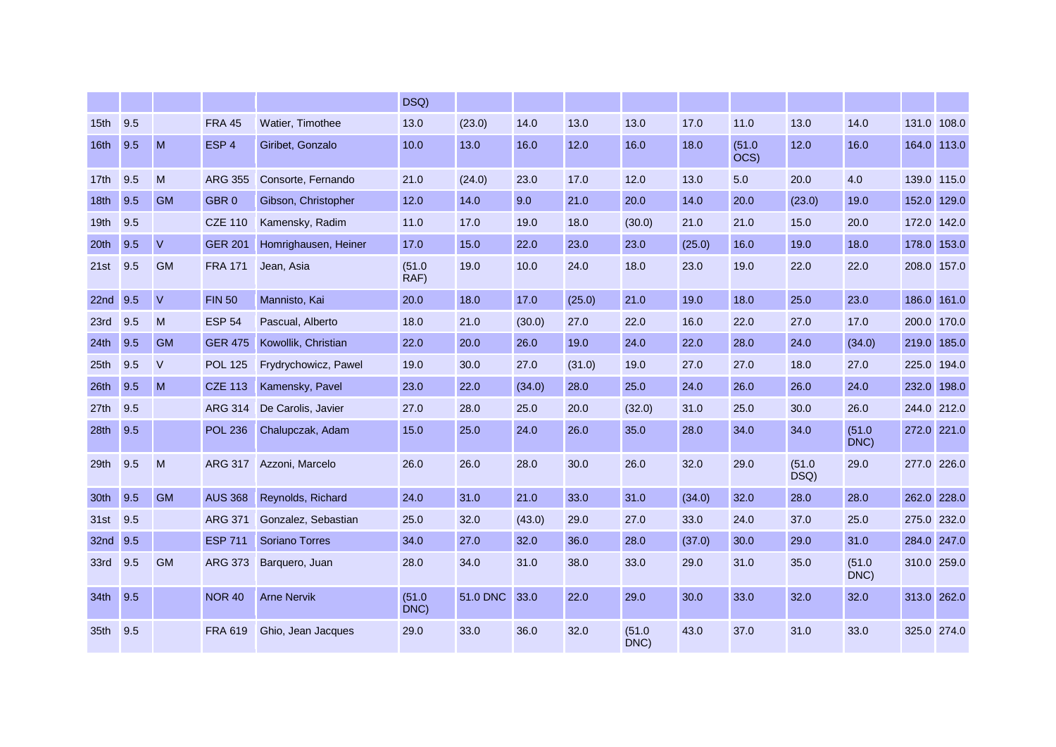|                  |     |           |                  |                         | DSQ)           |          |        |        |                |        |                |                |                |             |       |
|------------------|-----|-----------|------------------|-------------------------|----------------|----------|--------|--------|----------------|--------|----------------|----------------|----------------|-------------|-------|
| 15th             | 9.5 |           | <b>FRA 45</b>    | Watier, Timothee        | 13.0           | (23.0)   | 14.0   | 13.0   | 13.0           | 17.0   | 11.0           | 13.0           | 14.0           | 131.0 108.0 |       |
| 16th             | 9.5 | M         | ESP <sub>4</sub> | Giribet, Gonzalo        | 10.0           | 13.0     | 16.0   | 12.0   | 16.0           | 18.0   | (51.0)<br>OCS) | 12.0           | 16.0           | 164.0 113.0 |       |
| 17th             | 9.5 | M         | <b>ARG 355</b>   | Consorte, Fernando      | 21.0           | (24.0)   | 23.0   | 17.0   | 12.0           | 13.0   | 5.0            | 20.0           | 4.0            | 139.0 115.0 |       |
| 18th             | 9.5 | <b>GM</b> | GBR <sub>0</sub> | Gibson, Christopher     | 12.0           | 14.0     | 9.0    | 21.0   | 20.0           | 14.0   | 20.0           | (23.0)         | 19.0           | 152.0       | 129.0 |
| 19th             | 9.5 |           | <b>CZE 110</b>   | Kamensky, Radim         | 11.0           | 17.0     | 19.0   | 18.0   | (30.0)         | 21.0   | 21.0           | 15.0           | 20.0           | 172.0       | 142.0 |
| 20th             | 9.5 | $\vee$    | <b>GER 201</b>   | Homrighausen, Heiner    | 17.0           | 15.0     | 22.0   | 23.0   | 23.0           | (25.0) | 16.0           | 19.0           | 18.0           | 178.0       | 153.0 |
| 21st             | 9.5 | <b>GM</b> | <b>FRA 171</b>   | Jean, Asia              | (51.0)<br>RAF) | 19.0     | 10.0   | 24.0   | 18.0           | 23.0   | 19.0           | 22.0           | 22.0           | 208.0 157.0 |       |
| 22nd             | 9.5 | $\vee$    | <b>FIN 50</b>    | Mannisto, Kai           | 20.0           | 18.0     | 17.0   | (25.0) | 21.0           | 19.0   | 18.0           | 25.0           | 23.0           | 186.0 161.0 |       |
| 23rd             | 9.5 | M         | <b>ESP 54</b>    | Pascual, Alberto        | 18.0           | 21.0     | (30.0) | 27.0   | 22.0           | 16.0   | 22.0           | 27.0           | 17.0           | 200.0       | 170.0 |
| 24th             | 9.5 | <b>GM</b> | <b>GER 475</b>   | Kowollik, Christian     | 22.0           | 20.0     | 26.0   | 19.0   | 24.0           | 22.0   | 28.0           | 24.0           | (34.0)         | 219.0       | 185.0 |
| 25 <sub>th</sub> | 9.5 | $\vee$    | <b>POL 125</b>   | Frydrychowicz, Pawel    | 19.0           | 30.0     | 27.0   | (31.0) | 19.0           | 27.0   | 27.0           | 18.0           | 27.0           | 225.0       | 194.0 |
| 26th             | 9.5 | M         | <b>CZE 113</b>   | Kamensky, Pavel         | 23.0           | 22.0     | (34.0) | 28.0   | 25.0           | 24.0   | 26.0           | 26.0           | 24.0           | 232.0       | 198.0 |
| 27th             | 9.5 |           | <b>ARG 314</b>   | De Carolis, Javier      | 27.0           | 28.0     | 25.0   | 20.0   | (32.0)         | 31.0   | 25.0           | 30.0           | 26.0           | 244.0 212.0 |       |
| 28th             | 9.5 |           | <b>POL 236</b>   | Chalupczak, Adam        | 15.0           | 25.0     | 24.0   | 26.0   | 35.0           | 28.0   | 34.0           | 34.0           | (51.0)<br>DNC) | 272.0 221.0 |       |
| 29th             | 9.5 | M         |                  | ARG 317 Azzoni, Marcelo | 26.0           | 26.0     | 28.0   | 30.0   | 26.0           | 32.0   | 29.0           | (51.0)<br>DSQ) | 29.0           | 277.0 226.0 |       |
| 30th             | 9.5 | <b>GM</b> | <b>AUS 368</b>   | Reynolds, Richard       | 24.0           | 31.0     | 21.0   | 33.0   | 31.0           | (34.0) | 32.0           | 28.0           | 28.0           | 262.0 228.0 |       |
| 31st             | 9.5 |           | <b>ARG 371</b>   | Gonzalez, Sebastian     | 25.0           | 32.0     | (43.0) | 29.0   | 27.0           | 33.0   | 24.0           | 37.0           | 25.0           | 275.0 232.0 |       |
| 32nd             | 9.5 |           | <b>ESP 711</b>   | <b>Soriano Torres</b>   | 34.0           | 27.0     | 32.0   | 36.0   | 28.0           | (37.0) | 30.0           | 29.0           | 31.0           | 284.0 247.0 |       |
| 33rd             | 9.5 | <b>GM</b> | <b>ARG 373</b>   | Barquero, Juan          | 28.0           | 34.0     | 31.0   | 38.0   | 33.0           | 29.0   | 31.0           | 35.0           | (51.0)<br>DNC) | 310.0 259.0 |       |
| 34 <sub>th</sub> | 9.5 |           | <b>NOR 40</b>    | <b>Arne Nervik</b>      | (51.0)<br>DNC) | 51.0 DNC | 33.0   | 22.0   | 29.0           | 30.0   | 33.0           | 32.0           | 32.0           | 313.0 262.0 |       |
| 35th             | 9.5 |           | <b>FRA 619</b>   | Ghio, Jean Jacques      | 29.0           | 33.0     | 36.0   | 32.0   | (51.0)<br>DNC) | 43.0   | 37.0           | 31.0           | 33.0           | 325.0 274.0 |       |